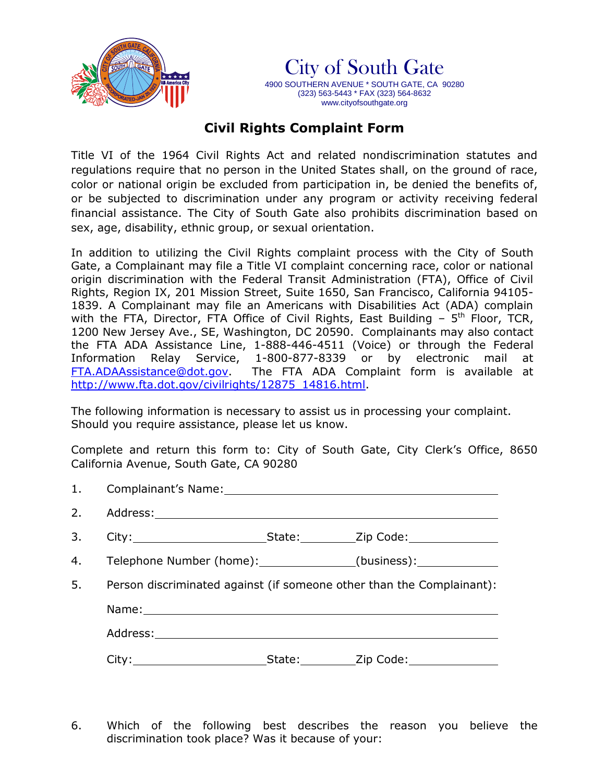



## **Civil Rights Complaint Form**

Title VI of the 1964 Civil Rights Act and related nondiscrimination statutes and regulations require that no person in the United States shall, on the ground of race, color or national origin be excluded from participation in, be denied the benefits of, or be subjected to discrimination under any program or activity receiving federal financial assistance. The City of South Gate also prohibits discrimination based on sex, age, disability, ethnic group, or sexual orientation.

In addition to utilizing the Civil Rights complaint process with the City of South Gate, a Complainant may file a Title VI complaint concerning race, color or national origin discrimination with the Federal Transit Administration (FTA), Office of Civil Rights, Region IX, 201 Mission Street, Suite 1650, San Francisco, California 94105- 1839. A Complainant may file an Americans with Disabilities Act (ADA) complain with the FTA, Director, FTA Office of Civil Rights, East Building  $-5<sup>th</sup>$  Floor, TCR, 1200 New Jersey Ave., SE, Washington, DC 20590. Complainants may also contact the FTA ADA Assistance Line, 1-888-446-4511 (Voice) or through the Federal Information Relay Service, 1-800-877-8339 or by electronic mail at [FTA.ADAAssistance@dot.gov.](mailto:FTA.ADAAssistance@dot.gov) The FTA ADA Complaint form is available at [http://www.fta.dot.gov/civilrights/12875\\_14816.html.](http://www.fta.dot.gov/civilrights/12875_14816.html)

The following information is necessary to assist us in processing your complaint. Should you require assistance, please let us know.

Complete and return this form to: City of South Gate, City Clerk's Office, 8650 California Avenue, South Gate, CA 90280

| 4. Telephone Number (home): _____________(business): _____________       |  |  |  |  |  |  |  |
|--------------------------------------------------------------------------|--|--|--|--|--|--|--|
| 5. Person discriminated against (if someone other than the Complainant): |  |  |  |  |  |  |  |
|                                                                          |  |  |  |  |  |  |  |
|                                                                          |  |  |  |  |  |  |  |
|                                                                          |  |  |  |  |  |  |  |

6. Which of the following best describes the reason you believe the discrimination took place? Was it because of your: